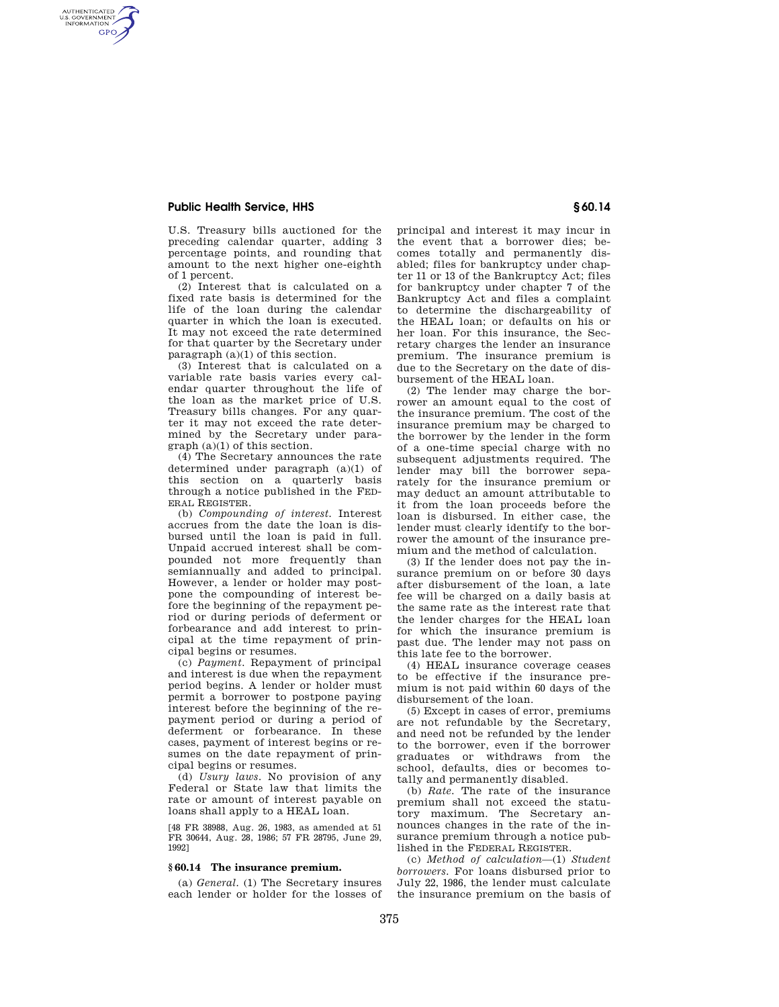# **Public Health Service, HHS § 60.14**

AUTHENTICATED<br>U.S. GOVERNMENT<br>INFORMATION **GPO** 

> U.S. Treasury bills auctioned for the preceding calendar quarter, adding 3 percentage points, and rounding that amount to the next higher one-eighth of 1 percent.

> (2) Interest that is calculated on a fixed rate basis is determined for the life of the loan during the calendar quarter in which the loan is executed. It may not exceed the rate determined for that quarter by the Secretary under paragraph (a)(1) of this section.

> (3) Interest that is calculated on a variable rate basis varies every calendar quarter throughout the life of the loan as the market price of U.S. Treasury bills changes. For any quarter it may not exceed the rate determined by the Secretary under paragraph (a)(1) of this section.

> (4) The Secretary announces the rate determined under paragraph (a)(1) of this section on a quarterly basis through a notice published in the FED-ERAL REGISTER.

> (b) *Compounding of interest.* Interest accrues from the date the loan is disbursed until the loan is paid in full. Unpaid accrued interest shall be compounded not more frequently than semiannually and added to principal. However, a lender or holder may postpone the compounding of interest before the beginning of the repayment period or during periods of deferment or forbearance and add interest to principal at the time repayment of principal begins or resumes.

> (c) *Payment.* Repayment of principal and interest is due when the repayment period begins. A lender or holder must permit a borrower to postpone paying interest before the beginning of the repayment period or during a period of deferment or forbearance. In these cases, payment of interest begins or resumes on the date repayment of principal begins or resumes.

> (d) *Usury laws.* No provision of any Federal or State law that limits the rate or amount of interest payable on loans shall apply to a HEAL loan.

> [48 FR 38988, Aug. 26, 1983, as amended at 51 FR 30644, Aug. 28, 1986; 57 FR 28795, June 29, 1992]

## **§ 60.14 The insurance premium.**

(a) *General.* (1) The Secretary insures each lender or holder for the losses of

principal and interest it may incur in the event that a borrower dies; becomes totally and permanently disabled; files for bankruptcy under chapter 11 or 13 of the Bankruptcy Act; files for bankruptcy under chapter 7 of the Bankruptcy Act and files a complaint to determine the dischargeability of the HEAL loan; or defaults on his or her loan. For this insurance, the Secretary charges the lender an insurance premium. The insurance premium is due to the Secretary on the date of disbursement of the HEAL loan.

(2) The lender may charge the borrower an amount equal to the cost of the insurance premium. The cost of the insurance premium may be charged to the borrower by the lender in the form of a one-time special charge with no subsequent adjustments required. The lender may bill the borrower separately for the insurance premium or may deduct an amount attributable to it from the loan proceeds before the loan is disbursed. In either case, the lender must clearly identify to the borrower the amount of the insurance premium and the method of calculation.

(3) If the lender does not pay the insurance premium on or before 30 days after disbursement of the loan, a late fee will be charged on a daily basis at the same rate as the interest rate that the lender charges for the HEAL loan for which the insurance premium is past due. The lender may not pass on this late fee to the borrower.

(4) HEAL insurance coverage ceases to be effective if the insurance premium is not paid within 60 days of the disbursement of the loan.

(5) Except in cases of error, premiums are not refundable by the Secretary, and need not be refunded by the lender to the borrower, even if the borrower graduates or withdraws from the school, defaults, dies or becomes totally and permanently disabled.

(b) *Rate.* The rate of the insurance premium shall not exceed the statutory maximum. The Secretary announces changes in the rate of the insurance premium through a notice published in the FEDERAL REGISTER.

(c) *Method of calculation*—(1) *Student borrowers.* For loans disbursed prior to July 22, 1986, the lender must calculate the insurance premium on the basis of